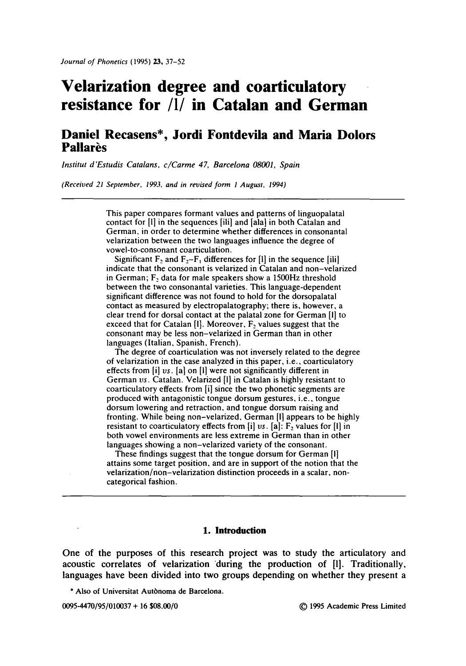# **Velarization degree and coarticulatory resistance for/1/in Catalan and German**

## **Daniel Recasens\*, Jordi Fontdevila and Maria Dolors Pallarès**

*lnstitut d'Estudis Catalans, c/Carme 47, Barcelona 08001, Spain* 

*(Received 21 September, 1993. and in revised form 1 August, 1994)* 

This paper compares formant values and patterns of linguopalatal contact for [I] in the sequences [ill] and [ala] in both Catalan and German, in order to determine whether differences in consonantal velarization between the two languages influence the degree of vowel-to-consonant coarticulation.

Significant  $F_2$  and  $F_2-F_1$  differences for [1] in the sequence [ili] indicate that the consonant is velarized in Catalan and non-velarized in German;  $F_2$  data for male speakers show a 1500Hz threshold between the two consonantal varieties. This language-dependent significant difference was not found to hold for the dorsopalatal contact as measured by electropalatography; there is, however, a clear trend for dorsal contact at the palatal zone for German [I] to exceed that for Catalan [I]. Moreover,  $F_2$  values suggest that the consonant may be less non-velarized in German than in other languages (Italian, Spanish, French).

The degree of coarticulation was not inversely related to the degree of velarization in the case analyzed in this paper, i.e., coarticulatory effects from [i] *vs.* [a] on [i] were not significantly different in German *vs.* Catalan. Velarized [l] in Catalan is highly resistant to coarticulatory effects from [i] since the two phonetic segments are produced with antagonistic tongue dorsum gestures, i.e., tongue dorsum lowering and retraction, and tongue dorsum raising and fronting. While being non-velarized, German Ill appears to be highly resistant to coarticulatory effects from  $[i]$  *vs.*  $[a]$ :  $F$ <sub>2</sub> values for  $[i]$  in both vowel environments are less extreme in German than in other languages showing a non-velarized variety of the consonant.

These findings suggest that the tongue dorsum for German [I] attains some target position, and are in support of the notion that the velarization/non-velarization distinction proceeds in a scalar, noncategorical fashion.

#### **1. Introduction**

One of the purposes of this research project was to study the articulatory and acoustic correlates of velarization during the production of [1]. Traditionally, languages have been divided into two groups depending on whether they present a

\* Also of Universitat Autbnoma de Barcelona.

0095-4470/95/010037 + 16 \$08.00/0 © 1995 Academic Press Limited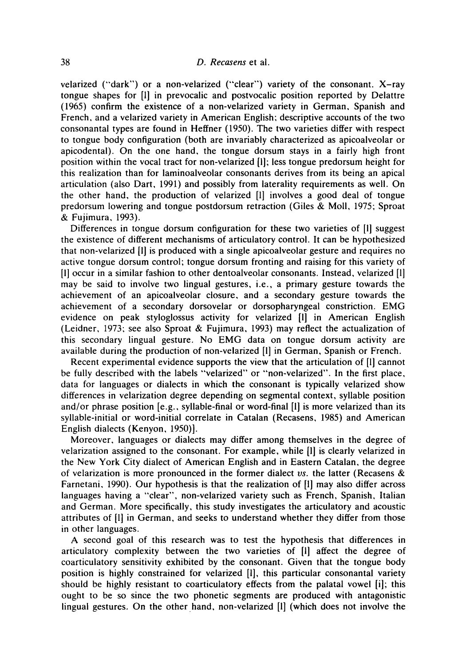velarized ("dark") or a non-velarized ("clear") variety of the consonant. X-ray tongue shapes for [1] in prevocalic and postvocalic position reported by Delattre (1965) confirm the existence of a non-velarized variety in German, Spanish and French, and a velarized variety in American English; descriptive accounts of the two consonantal types are found in Heffner (1950). The two varieties differ with respect to tongue body configuration (both are invariably characterized as apicoalveolar or apicodental). On the one hand, the tongue dorsum stays in a fairly high front position within the vocal tract for non-velarized [1]; less tongue predorsum height for this realization than for laminoalveolar consonants derives from its being an apical articulation (also Dart, 1991) and possibly from laterality requirements as well. On the other hand, the production of velarized [1] involves a good deal of tongue predorsum lowering and tongue postdorsum retraction (Giles & Moll, 1975; Sproat & Fujimura, 1993).

Differences in tongue dorsum configuration for these two varieties of [i] suggest the existence of different mechanisms of articulatory control. It can be hypothesized that non-velarized [1] is produced with a single apicoalveolar gesture and requires no active tongue dorsum control; tongue dorsum fronting and raising for this variety of [I] occur in a similar fashion to other dentoalveolar consonants. Instead, velarized [1] may be said to involve two lingual gestures, i.e., a primary gesture towards the achievement of an apicoalveolar closure, and a secondary gesture towards the achievement of a secondary dorsovelar or dorsopharyngeal constriction. EMG evidence on peak styloglossus activity for velarized [1] in American English (Leidner, 1973; see also Sproat & Fujimura, 1993) may reflect the actualization of this secondary lingual gesture. No EMG data on tongue dorsum activity are available during the production of non-velarized [i] in German, Spanish or French.

Recent experimental evidence supports the view that the articulation of [1] cannot be fully described with the labels "velarized" or "non-velarized". In the first place, data for languages or dialects in which the consonant is typically velarized show differences in velarization degree depending on segmental context, syllable position and/or phrase position [e.g., syllable-final or word-final [1] is more velarized than its syllable-initial or word-initial correlate in Catalan (Recasens, 1985) and American English dialects (Kenyon, 1950)].

Moreover, languages or dialects may differ among themselves in the degree of velarization assigned to the consonant. For example, while [1] is clearly velarized in the New York City dialect of American English and in Eastern Catalan, the degree of velarization is more pronounced in the former dialect *vs.* the latter (Recasens & Farnetani, 1990). Our hypothesis is that the realization of [1] may also differ across languages having a "clear", non-velarized variety such as French, Spanish, Italian and German. More specifically, this study investigates the articulatory and acoustic attributes of [1] in German, and seeks to understand whether they differ from those in other languages.

A second goal of this research was to test the hypothesis that differences in articulatory complexity between the two varieties of [1] affect the degree of coarticulatory sensitivity exhibited by the consonant. Given that the tongue body position is highly constrained for velarized [1], this particular consonantal variety should be highly resistant to coarticulatory effects from the palatal vowel [i]; this ought to be so since the two phonetic segments are produced with antagonistic lingual gestures. On the other hand, non-velarized [1] (which does not involve the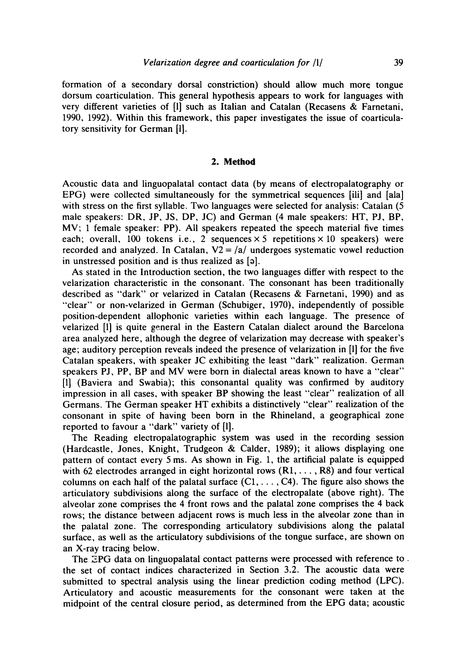formation of a secondary dorsal constriction) should allow much more tongue dorsum coarticulation. This general hypothesis appears to work for languages with very different varieties of [1] such as Italian and Catalan (Recasens & Farnetani, 1990, 1992). Within this framework, this paper investigates the issue of coarticulatory sensitivity for German [1].

#### **2. Method**

Acoustic data and linguopalatal contact data (by means of electropalatography or EPG) were collected simultaneously for the symmetrical sequences [ili] and [ala] with stress on the first syllable. Two languages were selected for analysis: Catalan (5 male speakers: DR, JP, JS, DP, JC) and German (4 male speakers: HT, PJ, BP, MV; 1 female speaker: PP). All speakers repeated the speech material five times each; overall, 100 tokens i.e., 2 sequences  $\times$  5 repetitions  $\times$  10 speakers) were recorded and analyzed. In Catalan,  $V2 = a/a$  undergoes systematic vowel reduction in unstressed position and is thus realized as  $[9]$ .

As stated in the Introduction section, the two languages differ with respect to the velarization characteristic in the consonant. The consonant has been traditionally described as "dark" or velarized in Catalan (Recasens & Farnetani, 1990) and as "clear" or non-velarized in German (Schubiger, 1970), independently of possible position-dependent allophonic varieties within each language. The presence of velarized [1] is quite general in the Eastern Catalan dialect around the Barcelona area analyzed here, although the degree of velarization may decrease with speaker's age; auditory perception reveals indeed the presence of velarization in [1] for the five Catalan speakers, with speaker JC exhibiting the least "dark" realization. German speakers PJ, PP, BP and MV were born in dialectal areas known to have a "clear" [1] (Baviera and Swabia); this consonantal quality was confirmed by auditory impression in all cases, with speaker BP showing the least "clear" realization of all Germans. The German speaker HT exhibits a distinctively "clear" realization of the consonant in spite of having been born in the Rhineland, a geographical zone reported to favour a "dark" variety of [1].

The Reading electropalatographic system was used in the recording session (Hardcastle, Jones, Knight, Trudgeon & Calder, 1989); it allows displaying one pattern of contact every 5 ms. As shown in Fig. 1, the artificial palate is equipped with 62 electrodes arranged in eight horizontal rows  $(R1, \ldots, R8)$  and four vertical columns on each half of the palatal surface  $(C_1, \ldots, C_4)$ . The figure also shows the articulatory subdivisions along the surface of the electropalate (above right). The alveolar zone comprises the 4 front rows and the palatal zone comprises the 4 back rows; the distance between adjacent rows is much less in the alveolar zone than in the palatal zone. The corresponding articulatory subdivisions along the palatal surface, as well as the articulatory subdivisions of the tongue surface, are shown on an X-ray tracing below.

The EPG data on linguopalatal contact patterns were processed with reference to. the set of contact indices characterized in Section 3.2. The acoustic data were submitted to spectral analysis using the linear prediction coding method (LPC). Articulatory and acoustic measurements for the consonant were taken at the midpoint of the central closure period, as determined from the EPG data; acoustic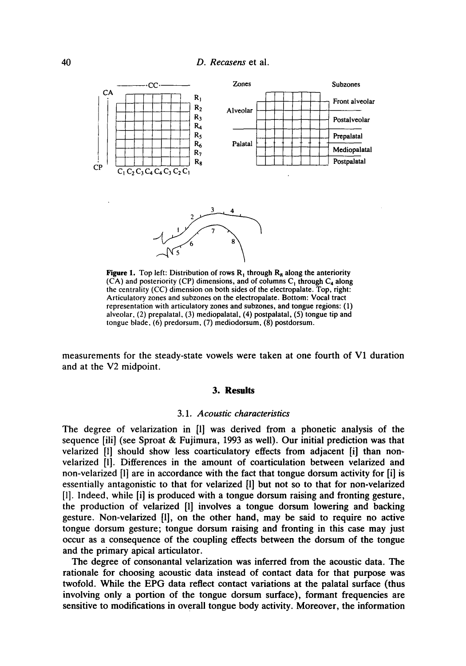

**Figure 1.** Top left: Distribution of rows  $R_1$  through  $R_8$  along the anteriority  $(C<sup>A</sup>)$  and posteriority (CP) dimensions, and of columns C<sub>1</sub> through C<sub>4</sub> along the centrality (CC) dimension on both sides of the electropalate. Top, right: Articulatory zones and subzones on the electropalate. Bottom: Vocal tract representation with articulatory zones and subzones, and tongue regions: (1) alveolar, (2) prepalatal, (3) mediopalatal, (4) postpalatal, (5) tongue tip and tongue blade, (6) predorsum, (7) mediodorsum, (8) postdorsum.

measurements for the steady-state vowels were taken at one fourth of V1 duration and at the V2 midpoint.

#### **3. Results**

#### *3.1. Acoustic characteristics*

The degree of velarization in [1] was derived from a phonetic analysis of the sequence [ill] (see Sproat & Fujimura, 1993 as well). Our initial prediction was that velarized [1] should show less coarticulatory effects from adjacent [i] than nonvelarized [l]. Differences in the amount of coarticulation between velarized and non-velarized [1] are in accordance with the fact that tongue dorsum activity for [i] is essentially antagonistic to that for velarized [1] but not so to that for non-velarized [l]. Indeed, while [i] is produced with a tongue dorsum raising and fronting gesture, the production of velarized [1] involves a tongue dorsum lowering and backing gesture. Non-velarized [1], on the other hand, may be said to require no active tongue dorsum gesture; tongue dorsum raising and fronting in this case may just occur as a consequence of the coupling effects between the dorsum of the tongue and the primary apical articulator.

The degree of consonantal velarization was inferred from the acoustic data. The rationale for choosing acoustic data instead of contact data for that purpose was twofold. While the EPG data reflect contact variations at the palatal surface (thus involving only a portion of the tongue dorsum surface), formant frequencies are sensitive to modifications in overall tongue body activity. Moreover, the information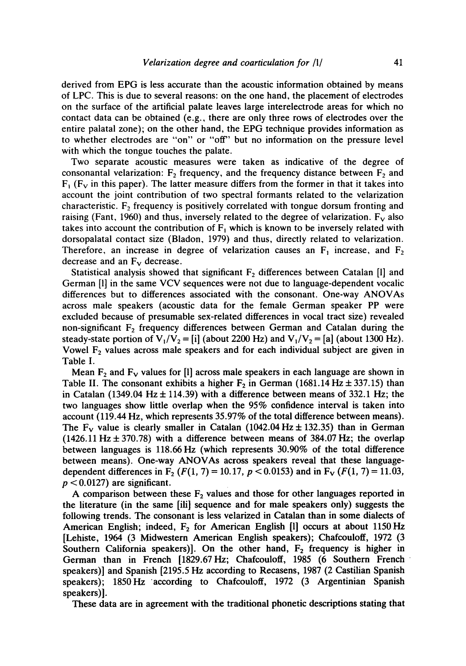derived from EPG is less accurate than the acoustic information obtained by means of LPC. This is due to several reasons: on the one hand, the placement of electrodes on the surface of the artificial palate leaves large interelectrode areas for which no contact data can be obtained (e.g., there are only three rows of electrodes over the entire palatal zone); on the other hand, the EPG technique provides information as to whether electrodes are "on" or "off" but no information on the pressure level with which the tongue touches the palate.

Two separate acoustic measures were taken as indicative of the degree of consonantal velarization:  $F_2$  frequency, and the frequency distance between  $F_2$  and  $F_1$  ( $F_v$  in this paper). The latter measure differs from the former in that it takes into account the joint contribution of two spectral formants related to the velarization characteristic.  $F<sub>2</sub>$  frequency is positively correlated with tongue dorsum fronting and raising (Fant, 1960) and thus, inversely related to the degree of velarization.  $F_v$  also takes into account the contribution of  $F_1$  which is known to be inversely related with dorsopalatal contact size (Bladon, 1979) and thus, directly related to velarization. Therefore, an increase in degree of velarization causes an  $F_1$  increase, and  $F_2$ decrease and an  $F_v$  decrease.

Statistical analysis showed that significant  $F_2$  differences between Catalan [1] and German [1] in the same VCV sequences were not due to language-dependent vocalic differences but to differences associated with the consonant. One-way ANOVAs across male speakers (acoustic data for the female German speaker PP were excluded because of presumable sex-related differences in vocal tract size) revealed non-significant  $F_2$  frequency differences between German and Catalan during the steady-state portion of  $V_1/V_2 = [i]$  (about 2200 Hz) and  $V_1/V_2 = [a]$  (about 1300 Hz). Vowel  $F_2$  values across male speakers and for each individual subject are given in Table I.

Mean  $F_2$  and  $F_v$  values for [1] across male speakers in each language are shown in Table II. The consonant exhibits a higher  $F_2$  in German (1681.14 Hz  $\pm$  337.15) than in Catalan (1349.04 Hz  $\pm$  114.39) with a difference between means of 332.1 Hz; the two languages show little overlap when the 95% confidence interval is taken into account (119.44 Hz, which represents 35.97% of the total difference between means). The  $F_v$  value is clearly smaller in Catalan (1042.04 Hz  $\pm$  132.35) than in German  $(1426.11 \text{ Hz} \pm 370.78)$  with a difference between means of 384.07 Hz; the overlap between languages is 118.66 Hz (which represents 30.90% of the total difference between means). One-way ANOVAs across speakers reveal that these languagedependent differences in  $F_2$  ( $F(1, 7) = 10.17$ ,  $p < 0.0153$ ) and in  $F_V$  ( $F(1, 7) = 11.03$ ,  $p < 0.0127$ ) are significant.

A comparison between these  $F_2$  values and those for other languages reported in the literature (in the same [ili] sequence and for male speakers only) suggests the following trends. The consonant is less velarized in Catalan than in some dialects of American English; indeed,  $F_2$  for American English [1] occurs at about 1150 Hz [Lehiste, 1964 (3 Midwestern American English speakers); Chafcouloff, 1972 (3 Southern California speakers). On the other hand,  $F<sub>2</sub>$  frequency is higher in German than in French [1829.67Hz; Chafcouloff, 1985 (6 Southern French speakers)] and Spanish [2195.5 Hz according to Recasens, 1987 (2 Castilian Spanish speakers); 1850 Hz according to Chafcouloff, 1972 (3 Argentinian Spanish speakers)].

These data are in agreement with the traditional phonetic descriptions stating that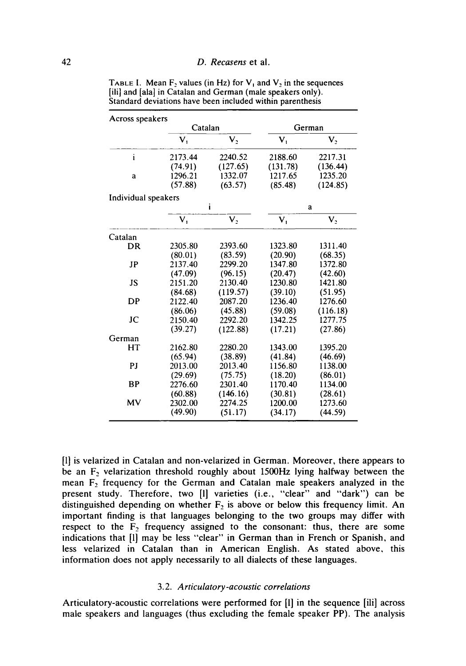| Across speakers     |                |                |                |          |
|---------------------|----------------|----------------|----------------|----------|
|                     |                | Catalan        |                | German   |
|                     | $\mathbf{V}_1$ | $V_2$          | $\mathbf{V}_1$ | $V_{2}$  |
| i                   | 2173.44        | 2240.52        | 2188.60        | 2217.31  |
|                     | (74.91)        | (127.65)       | (131.78)       | (136.44) |
| a                   | 1296.21        | 1332.07        | 1217.65        | 1235.20  |
|                     | (57.88)        | (63.57)        | (85.48)        | (124.85) |
| Individual speakers |                |                |                |          |
|                     |                | i              |                | a        |
|                     | v,             | V <sub>2</sub> | $\mathbf{V}_1$ | $V_{2}$  |
| Catalan             |                |                |                |          |
| DR                  | 2305.80        | 2393.60        | 1323.80        | 1311.40  |
|                     | (80.01)        | (83.59)        | (20.90)        | (68.35)  |
| JP                  | 2137.40        | 2299.20        | 1347.80        | 1372.80  |
|                     | (47.09)        | (96.15)        | (20.47)        | (42.60)  |
| JS                  | 2151.20        | 2130.40        | 1230.80        | 1421.80  |
|                     | (84.68)        | (119.57)       | (39.10)        | (51.95)  |
| DP                  | 2122.40        | 2087.20        | 1236.40        | 1276.60  |
|                     | (86.06)        | (45.88)        | (59.08)        | (116.18) |
| JC                  | 2150.40        | 2292.20        | 1342.25        | 1277.75  |
|                     | (39.27)        | (122.88)       | (17.21)        | (27.86)  |
| German              |                |                |                |          |
| HT                  | 2162.80        | 2280.20        | 1343.00        | 1395.20  |
|                     | (65.94)        | (38.89)        | (41.84)        | (46.69)  |
| PJ                  | 2013.00        | 2013.40        | 1156.80        | 1138.00  |
|                     | (29.69)        | (75.75)        | (18.20)        | (86.01)  |
| <b>BP</b>           | 2276.60        | 2301.40        | 1170.40        | 1134.00  |
|                     | (60.88)        | (146.16)       | (30.81)        | (28.61)  |
| MV                  | 2302.00        | 2274.25        | 1200.00        | 1273.60  |
|                     | (49.90)        | (51.17)        | (34.17)        | (44.59)  |

TABLE I. Mean  $F_2$  values (in Hz) for  $V_1$  and  $V_2$  in the sequences [ili] and [ala] in Catalan and German (male speakers only). Standard deviations have been included within parenthesis

[1] is velarized in Catalan and non-velarized in German. Moreover, there appears to be an  $F_2$  velarization threshold roughly about 1500Hz lying halfway between the mean  $F_2$  frequency for the German and Catalan male speakers analyzed in the present study. Therefore, two [l] varieties (i.e., "clear" and "dark") can be distinguished depending on whether  $F_2$  is above or below this frequency limit. An important finding is that languages belonging to the two groups may differ with respect to the  $F_2$  frequency assigned to the consonant: thus, there are some indications that [l] may be less "clear" in German than in French or Spanish, and less velarized in Catalan than in American English. As stated above, this information does not apply necessarily to all dialects of these languages.

#### 3.2. *Articulatory-acoustic correlations*

Articulatory-acoustic correlations were performed for [l] in the sequence [ili] across male speakers and languages (thus excluding the female speaker PP). The analysis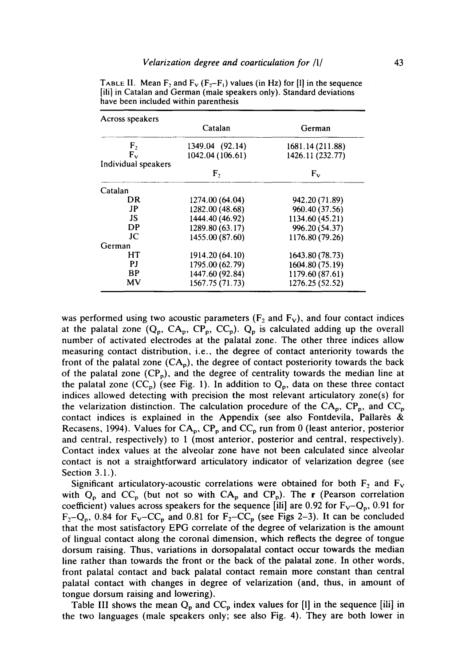| Across speakers     |                  |                  |
|---------------------|------------------|------------------|
|                     | Catalan          | German           |
| ${\rm F_2}$         | 1349.04 (92.14)  | 1681.14 (211.88) |
| $F_{\rm v}$         | 1042.04 (106.61) | 1426.11 (232.77) |
| Individual speakers |                  |                  |
|                     | F,               | $F_{v}$          |
| Catalan             |                  |                  |
| DR                  | 1274.00 (64.04)  | 942.20 (71.89)   |
| JP                  | 1282.00 (48.68)  | 960.40 (37.56)   |
| JS.                 | 1444.40 (46.92)  | 1134.60 (45.21)  |
| DP                  | 1289.80 (63.17)  | 996.20 (54.37)   |
| JС                  | 1455.00 (87.60)  | 1176.80 (79.26)  |
| German              |                  |                  |
| HТ                  | 1914.20 (64.10)  | 1643.80 (78.73)  |
| РJ                  | 1795.00 (62.79)  | 1604.80 (75.19)  |
| <b>BP</b>           | 1447.60 (92.84)  | 1179.60 (87.61)  |
| MV                  | 1567.75 (71.73)  | 1276.25 (52.52)  |

TABLE II. Mean  $F_2$  and  $F_V$  ( $F_2-F_1$ ) values (in Hz) for [I] in the sequence [ili] in Catalan and German (male speakers only). Standard deviations have been included within parenthesis

was performed using two acoustic parameters ( $F_2$  and  $F_V$ ), and four contact indices at the palatal zone  $(Q_p, CA_p, CP_p, CC_p)$ .  $Q_p$  is calculated adding up the overall number of activated electrodes at the palatal zone. The other three indices allow measuring contact distribution, i.e., the degree of contact anteriority towards the front of the palatal zone  $(CA_p)$ , the degree of contact posteriority towards the back of the palatal zone  $(CP_p)$ , and the degree of centrality towards the median line at the palatal zone  $(CC_p)$  (see Fig. 1). In addition to  $Q_p$ , data on these three contact indices allowed detecting with precision the most relevant articulatory zone(s) for the velarization distinction. The calculation procedure of the  $CA_p$ ,  $CP_p$ , and  $CC_p$ contact indices is explained in the Appendix (see also Fontdevila, Pallarès & Recasens, 1994). Values for  $CA_p$ ,  $CP_p$  and  $CC_p$  run from 0 (least anterior, posterior and central, respectively) to 1 (most anterior, posterior and central, respectively). Contact index values at the alveolar zone have not been calculated since alveolar contact is not a straightforward articulatory indicator of velarization degree (see Section 3.1.).

Significant articulatory-acoustic correlations were obtained for both  $F_2$  and  $F_V$ with  $Q_p$  and  $CC_p$  (but not so with  $CA_p$  and  $CP_p$ ). The r (Pearson correlation coefficient) values across speakers for the sequence [iii] are 0.92 for  $F_V-Q_p$ , 0.91 for  $F_2-Q_p$ , 0.84 for  $F_V-CC_p$  and 0.81 for  $F_2-CC_p$  (see Figs 2-3). It can be concluded that the most satisfactory EPG correlate of the degree of velarization is the amount of lingual contact along the coronal dimension, which reflects the degree of tongue dorsum raising. Thus, variations in dorsopalatal contact occur towards the median line rather than towards the front or the back of the palatal zone. In other words, front palatal contact and back palatal contact remain more constant than central palatal contact with changes in degree of velarization (and, thus, in amount of tongue dorsum raising and lowering).

Table III shows the mean  $Q_p$  and  $CC_p$  index values for [1] in the sequence [ili] in the two languages (male speakers only; see also Fig. 4). They are both lower in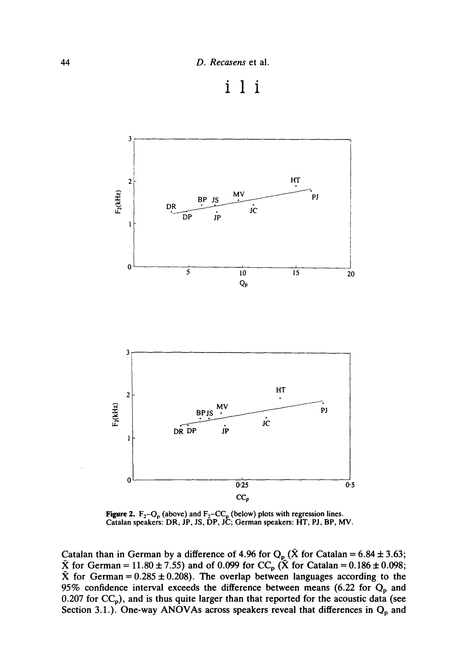



**Figure 2.**  $F_2-Q_0$  (above) and  $F_2-CC_0$  (below) plots with regression lines. **Catalan speakers:** DR, JP, JS, DP, JC; **German speakers:** HT, PJ, BP, MV.

Catalan than in German by a difference of 4.96 for  $Q_p$  (X for Catalan = 6.84  $\pm$  3.63; for German =  $11.80 \pm 7.55$ ) and of 0.099 for CC<sub>p</sub> (X for Catalan =  $0.186 \pm 0.098$ ;  $\bar{X}$  for German = 0.285  $\pm$  0.208). The overlap between languages according to the 95% confidence interval exceeds the difference between means (6.22 for  $Q_p$  and 0.207 for CC<sub>p</sub>), and is thus quite larger than that reported for the acoustic data (see Section 3.1.). One-way ANOVAs across speakers reveal that differences in  $Q_p$  and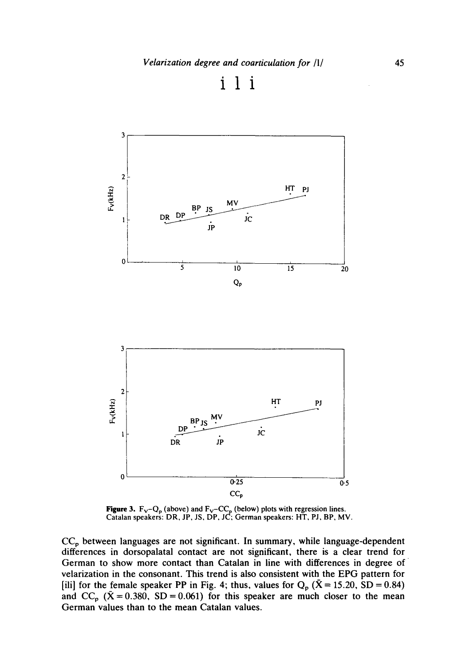



**Figure 3.**  $F_v-Q_p$  (above) and  $F_v-CC_p$  (below) plots with regression lines. **Catalan speakers:** DR, JP, JS, DP, JC; **German speakers:** HT, PJ, BP, MV.

**CCp between languages are not significant. In summary, while language-dependent differences in dorsopalatal contact are not significant, there is a clear trend for German to show more contact than Catalan in line with differences in degree of velarization in the consonant. This trend is also consistent with the EPG pattern for**  [ili] for the female speaker PP in Fig. 4; thus, values for  $Q_p$  ( $\bar{X} = 15.20$ , SD = 0.84) and  $CC_p$  ( $\bar{X} = 0.380$ , SD = 0.061) for this speaker are much closer to the mean **German values than to the mean Catalan values.**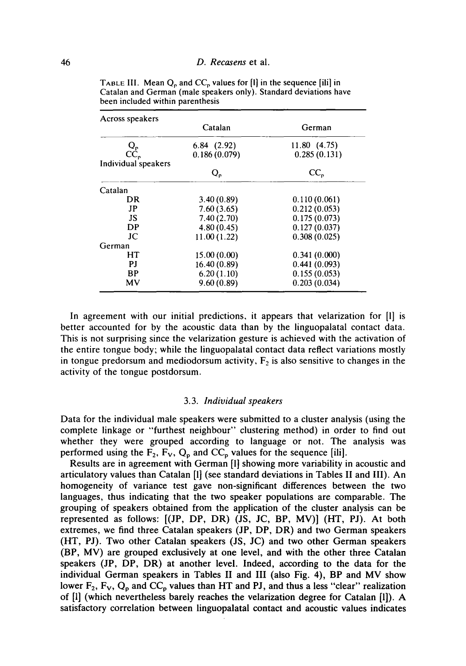| Across speakers     |              |              |
|---------------------|--------------|--------------|
|                     | Catalan      | German       |
|                     | 6.84(2.92)   | 11.80(4.75)  |
| Ur<br>CC,           | 0.186(0.079) | 0.285(0.131) |
| Individual speakers |              |              |
|                     | Q,           | CC,          |
| Catalan             |              |              |
| DR                  | 3.40(0.89)   | 0.110(0.061) |
| JP                  | 7.60(3.65)   | 0.212(0.053) |
| JS.                 | 7.40(2.70)   | 0.175(0.073) |
| DP                  | 4.80(0.45)   | 0.127(0.037) |
| JС                  | 11.00(1.22)  | 0.308(0.025) |
| German              |              |              |
| HT                  | 15.00(0.00)  | 0.341(0.000) |
| P.I                 | 16.40(0.89)  | 0.441(0.093) |
| BP                  | 6.20(1.10)   | 0.155(0.053) |
| MV                  | 9.60(0.89)   | 0.203(0.034) |

TABLE III. Mean  $Q_p$  and  $CC_p$  values for [1] in the sequence [ili] in Catalan and German (male speakers only). Standard deviations have been included within parenthesis

In agreement with our initial predictions, it appears that velarization for [I] is better accounted for by the acoustic data than by the linguopalatal contact data. This is not surprising since the velarization gesture is achieved with the activation of the entire tongue body; while the linguopalatal contact data reflect variations mostly in tongue predorsum and mediodorsum activity,  $F_2$  is also sensitive to changes in the activity of the tongue postdorsum.

#### 3.3. *Individual speakers*

Data for the individual male speakers were submitted to a cluster analysis (using the complete linkage or "furthest neighbour" clustering method) in order to find out whether they were grouped according to language or not. The analysis was performed using the  $\overline{F}_2$ ,  $\overline{F}_V$ ,  $Q_p$  and  $CC_p$  values for the sequence [ili].

Results are in agreement with German [1] showing more variability in acoustic and articulatory values than Catalan [1] (see standard deviations in Tables II and III). An homogeneity of variance test gave non-significant differences between the two languages, thus indicating that the two speaker populations are comparable. The grouping of speakers obtained from the application of the cluster analysis can be represented as follows: [(JP, DP, DR) (JS, JC, BP, MV)] (HT, PJ). At both extremes, we find three Catalan speakers (JP, DP, DR) and two German speakers (HT, PJ). Two other Catalan speakers (JS, JC) and two other German speakers (BP, MV) are grouped exclusively at one level, and with the other three Catalan speakers (JP, DP, DR) at another level. Indeed, according to the data for the individual German speakers in Tables II and III (also Fig. 4), BP and MV show lower  $F_2$ ,  $F_V$ ,  $Q_p$  and  $CC_p$  values than HT and PJ, and thus a less "clear" realization of [1] (which nevertheless barely reaches the velarization degree for Catalan [1]). A satisfactory correlation between linguopalatal contact and acoustic values indicates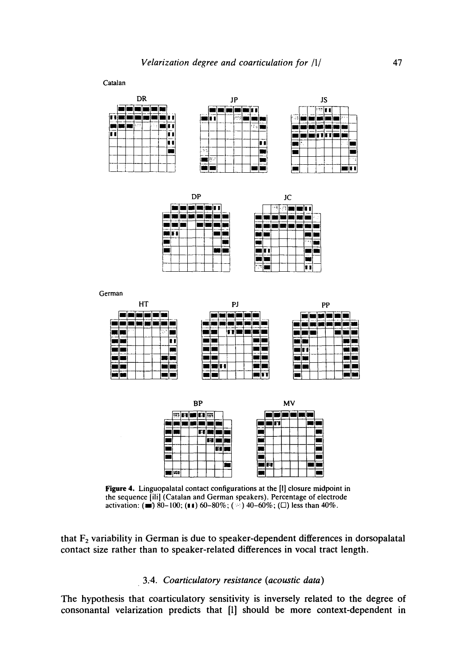Catalan

nmmm

٦r





|    | DP |                        |    | JC |  |      |        |
|----|----|------------------------|----|----|--|------|--------|
|    |    |                        | ÷, | ÷  |  |      |        |
|    |    |                        |    |    |  |      | $\sim$ |
|    |    |                        |    |    |  |      |        |
| ī. |    |                        |    |    |  |      |        |
|    |    |                        |    |    |  | ma e |        |
|    |    |                        |    |    |  |      |        |
|    |    |                        |    |    |  |      |        |
|    |    | literatur.<br>Tanzania |    |    |  |      |        |

|   | JC |  |   |    |  |  |  |
|---|----|--|---|----|--|--|--|
| í |    |  | π | ò. |  |  |  |
|   |    |  |   |    |  |  |  |
|   |    |  |   |    |  |  |  |
|   |    |  |   |    |  |  |  |
|   |    |  |   |    |  |  |  |
|   |    |  |   |    |  |  |  |
|   |    |  |   |    |  |  |  |
|   | ٠  |  |   |    |  |  |  |

German

| HТ                               | PJ                                                  | PP                  |
|----------------------------------|-----------------------------------------------------|---------------------|
|                                  |                                                     |                     |
| <b>CONTINUES</b>                 | $- - -$<br>$\sim$<br>--<br><b>CONTRACTOR</b><br>___ | ment on<br>--<br>-- |
| セールト<br>精确性的<br>a di 19<br>      |                                                     |                     |
| -----                            | <b>STATISTICS</b>                                   | -                   |
| ---<br>--<br><b>STERN STATES</b> |                                                     | ----                |
|                                  |                                                     | --                  |
| ---                              | ---                                                 |                     |
|                                  | l۳T                                                 |                     |



Figure 4. Linguopalatal contact configurations at the [I] closure midpoint in the sequence [ili] (Catalan and German speakers). Percentage of electrode activation: ( $\equiv$ ) 80-100; ( $\equiv$ 1) 60-80%; ( $\approx$ ) 40-60%; ( $\Box$ ) less than 40%.

that  $F<sub>2</sub>$  variability in German is due to speaker-dependent differences in dorsopalatal contact size rather than to speaker-related differences in vocal tract length.

### 3..4. *Coarticulatory resistance (acoustic data)*

The hypothesis that coarticulatory sensitivity is inversely related to the degree of consonantal velarization predicts that [l] should be more context-dependent in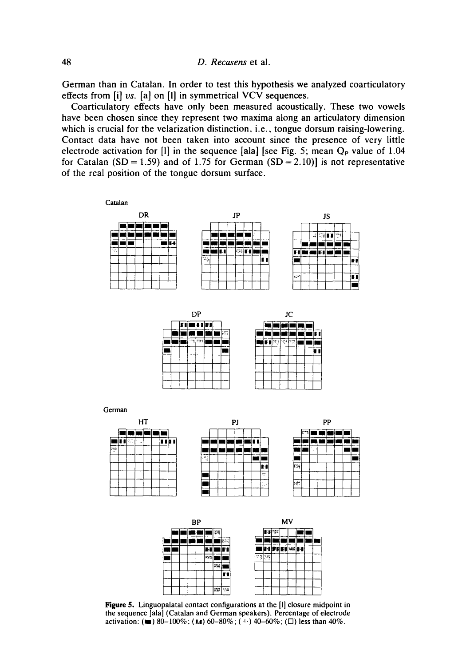German than in Catalan. In order to test this hypothesis we analyzed coarticulatory effects from [i] vs. [a] on [!] in symmetrical VCV sequences.

Coarticulatory effects have only been measured acoustically. These two vowels have been chosen since they represent two maxima along an articulatory dimension which is crucial for the velarization distinction, i.e., tongue dorsum raising-lowering. Contact data have not been taken into account since the presence of very little electrode activation for  $[1]$  in the sequence [ala] [see Fig. 5; mean  $Q_P$  value of 1.04 for Catalan (SD = 1.59) and of 1.75 for German (SD = 2.10)] is not representative of the real position of the tongue dorsum surface.





Figure 5. Linguopalatal contact configurations at the [1] closure midpoint in the sequence [ala] (Catalan and German speakers). Percentage of electrode activation: ( $\blacksquare$ ) 80-100%; (11) 60-80%; ( $\lightharpoonup$ ) 40-60%; ( $\Box$ ) less than 40%.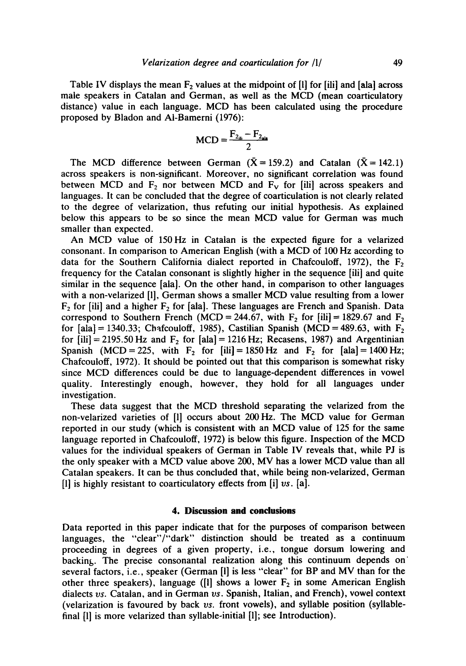Table IV displays the mean  $F<sub>2</sub>$  values at the midpoint of [1] for [ili] and [ala] across male speakers in Catalan and German, as well as the MCD (mean coarticulatory distance) value in each language. MCD has been calculated using the procedure proposed by Bladon and AI-Bamerni (1976):

$$
MCD = \frac{F_{2_{\text{iii}}} - F_{2_{\text{ais}}}}{2}
$$

The MCD difference between German ( $\bar{X} = 159.2$ ) and Catalan ( $\bar{X} = 142.1$ ) across speakers is non-significant. Moreover, no significant correlation was found between MCD and  $F_2$  nor between MCD and  $F_v$  for [iii] across speakers and languages. It can be concluded that the degree of coarticulation is not clearly related to the degree of velarization, thus refuting our initial hypothesis. As explained below this appears to be so since the mean MCD value for German was much smaller than expected.

An MCD value of 150Hz in Catalan is the expected figure for a velarized consonant. In comparison to American English (with a MCD of 100 Hz according to data for the Southern California dialect reported in Chafcouloff, 1972), the  $F<sub>2</sub>$ frequency for the Catalan consonant is slightly higher in the sequence [ili] and quite similar in the sequence [ala]. On the other hand, in comparison to other languages with a non-velarized [l], German shows a smaller MCD value resulting from a lower  $F_2$  for [ili] and a higher  $F_2$  for [ala]. These languages are French and Spanish. Data correspond to Southern French (MCD = 244.67, with  $F_2$  for [ili] = 1829.67 and  $F_2$ for [ala] = 1340.33; Chafcouloff, 1985), Castilian Spanish (MCD = 489.63, with  $F_2$ for  $[i]$  = 2195.50 Hz and  $F_2$  for  $[a]$  = 1216 Hz; Recasens, 1987) and Argentinian Spanish (MCD = 225, with F<sub>2</sub> for  $[i\mathbf{i}]= 1850 \text{ Hz}$  and F<sub>2</sub> for  $[a\mathbf{la}]= 1400 \text{ Hz}$ ; Chafcouloff, 1972). It should be pointed out that this comparison is somewhat risky since MCD differences could be due to language-dependent differences in vowel quality. Interestingly enough, however, they hold for all languages under investigation.

These data suggest that the MCD threshold separating the velarized from the non-velarized varieties of [l] occurs about 200 Hz. The MCD value for German reported in our study (which is consistent with an MCD value of 125 for the same language reported in Chafcouloff, 1972) is below this figure. Inspection of the MCD values for the individual speakers of German in Table IV reveals that, while PJ is the only speaker with a MCD value above 200, MV has a lower MCD value than all Catalan speakers. It can be thus concluded that, while being non-velarized, German [l] is highly resistant to coarticulatory effects from [i] *vs.* [a].

#### **4. Discussion and conclusions**

Data reported in this paper indicate that for the purposes of comparison between languages, the "clear"/"dark" distinction should be treated as a continuum proceeding in degrees of a given property, i.e., tongue dorsum lowering and backing,. The precise consonantal realization along this continuum depends on' several factors, i.e., speaker (German [!] is less "clear" for BP and MV than for the other three speakers), language ([1] shows a lower  $F_2$  in some American English dialects *vs.* Catalan, and in German *vs.* Spanish, Italian, and French), vowel context (velarization is favoured by back *vs.* front vowels), and syllable position (syllablefinal [1] is more velarized than syllable-initial [1]; see Introduction).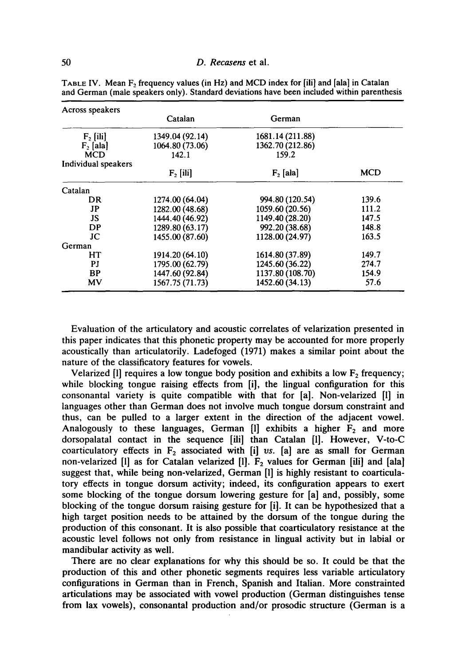| Across speakers     |                 |                  |            |
|---------------------|-----------------|------------------|------------|
|                     | Catalan         | German           |            |
| $F_2$ [ili]         | 1349.04 (92.14) | 1681.14 (211.88) |            |
| $F_2$ [ala]         | 1064.80 (73.06) | 1362.70 (212.86) |            |
| <b>MCD</b>          | 142.1           | 159.2            |            |
| Individual speakers |                 |                  |            |
|                     | $F_2$ [ili]     | $F_2$ [ala]      | <b>MCD</b> |
| Catalan             |                 |                  |            |
| DR                  | 1274.00 (64.04) | 994.80 (120.54)  | 139.6      |
| $_{\rm JP}$         | 1282.00 (48.68) | 1059.60 (20.56)  | 111.2      |
| JS                  | 1444.40 (46.92) | 1149.40 (28.20)  | 147.5      |
| DP                  | 1289.80 (63.17) | 992.20 (38.68)   | 148.8      |
| JС                  | 1455.00 (87.60) | 1128.00 (24.97)  | 163.5      |
| German              |                 |                  |            |
| HТ                  | 1914.20 (64.10) | 1614.80 (37.89)  | 149.7      |
| PJ                  | 1795.00 (62.79) | 1245.60 (36.22)  | 274.7      |
| <b>BP</b>           | 1447.60 (92.84) | 1137.80 (108.70) | 154.9      |
| MV                  | 1567.75 (71.73) | 1452.60 (34.13)  | 57.6       |

TABLE IV. Mean  $F_2$  frequency values (in Hz) and MCD index for [iii] and [ala] in Catalan and German (male speakers only). Standard deviations have been included within parenthesis

Evaluation of the articulatory and acoustic correlates of velarization presented in this paper indicates that this phonetic property may be accounted for more properly acoustically than articulatorily. Ladefoged (1971) makes a similar point about the nature of the classificatory features for vowels.

Velarized [1] requires a low tongue body position and exhibits a low  $F_2$  frequency; while blocking tongue raising effects from [i], the lingual configuration for this consonantal variety is quite compatible with that for [a]. Non-velarized [1] in languages other than German does not involve much tongue dorsum constraint and thus, can be pulled to a larger extent in the direction of the adjacent vowel. Analogously to these languages, German [1] exhibits a higher  $F_2$  and more dorsopalatal contact in the sequence [ili] than Catalan [1]. However, V-to-C coarticulatory effects in  $F_2$  associated with [i] *vs.* [a] are as small for German non-velarized [1] as for Catalan velarized [1].  $F_2$  values for German [ili] and [ala] suggest that, while being non-velarized, German [1] is highly resistant to coarticulatory effects in tongue dorsum activity; indeed, its configuration appears to exert some blocking of the tongue dorsum lowering gesture for [a] and, possibly, some blocking of the tongue dorsum raising gesture for [i]. It can be hypothesized that a high target position needs to be attained by the dorsum of the tongue during the production of this consonant. It is also possible that coarticulatory resistance at the acoustic level follows not only from resistance in lingual activity but in labial or mandibular activity as well.

There are no clear explanations for why this should be so. It could be that the production of this and other phonetic segments requires less variable articulatory configurations in German than in French, Spanish and Italian. More constrainted articulations may be associated with vowel production (German distinguishes tense from lax vowels), consonantal production and/or prosodic structure (German is a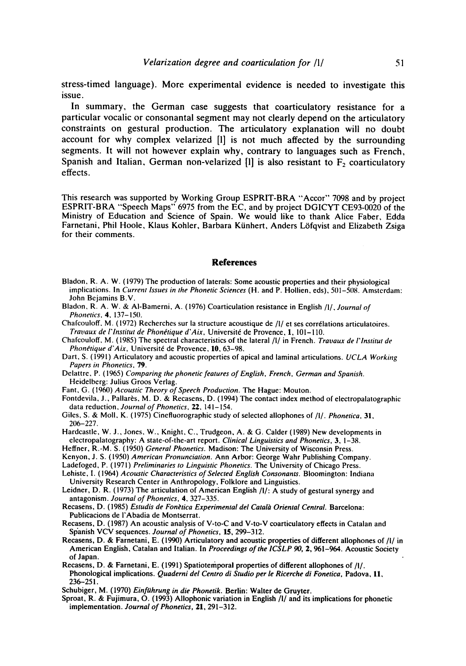**stress-timed language). More experimental evidence is needed to investigate this issue.** 

**In summary, the German case suggests that coarticulatory resistance for a particular vocalic or consonantal segment may not clearly depend on the articulatory constraints on gestural production. The articulatory explanation will no doubt account for why complex velarized [l] is not much affected by the surrounding segments. It will not however explain why, contrary to languages such as French,**  Spanish and Italian, German non-velarized [1] is also resistant to F<sub>2</sub> coarticulatory **effects.** 

This research was supported by Working Group ESPRIT-BRA "Accor" 7098 and by project ESPRIT-BRA "Speech Maps" 6975 from the EC, and by project DGICYT CE93-0020 of the Ministry of Education and Science of Spain. We would like to thank Alice Faber, Edda Farnetani, Phil Hoole, Klaus Kohler, Barbara Kiinhert, Anders L6fqvist and Elizabeth Zsiga for their comments.

#### **References**

- Bladon, R. A. W. (1979) The production of laterals: Some acoustic properties and their physiological implications. In *Current Issues in the Phonetic Sciences* (H. and P. Hollien, eds), 501-508. Amsterdam: John Bejamins B.V.
- Bladon, R. A. W. & AI-Bamerni, A. (1976) Coarticulation resistance in English/I/, *Journal of Phonetics*, **4**, 137-150.
- Chafcouloff. M. (1972) Recherches sur la structure acoustique de /l/ et ses corrélations articulatoires. *Travaux de I'lnstitut de Phon~tique d'Aix,* Universit6 de Provence, 1, 101-110.

Chafcouloff, M. (1985) The spectral characteristics of the lateral *]1]* in French. *Travaux de I'lnstitut de*  Phonétique d'Aix, Université de Provence, 10, 63-98.

- Dart, S. (1991) Articulatory and acoustic properties of apical and laminal articulations. *UCLA Working Papers in Phonetics,* 79.
- Delattre, P. (1965) *Comparing the phonetic features of English, French, German and Spanish.* Heidelberg: Julius Groos Verlag.
- Fant, G. (1960) Acoustic *Theory of Speech Production*. The Hague: Mouton.
- Fontdevila, J., Pallarès, M. D. & Recasens, D. (1994) The contact index method of electropalatographic data reduction, *Journal of Phonetics*, 22, 141-154.
- Giles, S. & Moll, K. (1975) Cinefluorographic study of selected allophones of *]1]. Phonetica,* 31, 206-227.
- Hardcastle, W. J., Jones, W., Knight, C., Trudgeon, A. & G. Calder (1989) New developments in electropalatography: A state-of-the-art report. *Clinical Linguistics and Phonetics, 3,* 1-38.
- Heffner, R.-M. S. (1950) *General Phonetics.* Madison: The University of Wisconsin Press.
- Kenyon, J. S. (1950) *American Pronunciation.* Ann Arbor: George Wahr Publishing Company.
- Ladefoged, P. (1971) *Preliminaries to Linguistic Phonetics.* The University of Chicago Press.
- Lohiste, I. (1964) *Acoustic Characteristics of Selected English Consonants.* Bloomington: Indiana University Research Center in Anthropology, Folklore and Linguistics.
- Leidner, D. R. (1973) The articulation of American English *]1]:* A study of gestural synergy and antagonism. *Journal of Phonetics, 4,* 327-335.
- Recasens, D. (1985) *Estudis de Fonètica Experimental del Català Oriental Central. Barcelona:* Publicacions de I'Abadia de Montserrat.
- Recasens, D. (1987) An acoustic analysis of V-to-C and V-to-V coarticulatory effects in Catalan and Spanish VCV sequences. *Journal of Phonetics,* 15,299-312.
- Recasens, D. & Farnetani, E. (1990) Articulatory and acoustic properties of different allophones of *[I]* in American English, Catalan and Italian. In *Proceedings of the ICSLP* 90, 2,961-964. Acoustic Society of Japan.
- Recasens, D. & Farnetani, E. (1991) Spatiotemporal properties of different ailophones of *]1/.*  Phonological implications. *Quaderni del Centro di Studio per le Ricerche di Fonetica*, Padova, 11,  $236 - 251$ .
- Schubiger, M. (1970) *Einflthrung in die Phonetik.* Berlin: Walter de Gruyter.
- Sproat, R. & Fujimura, O. (1993) AIIophonic variation in English/I] and its implications for phonetic implementation. *Journal of Phonetics,* 21, 291-312.